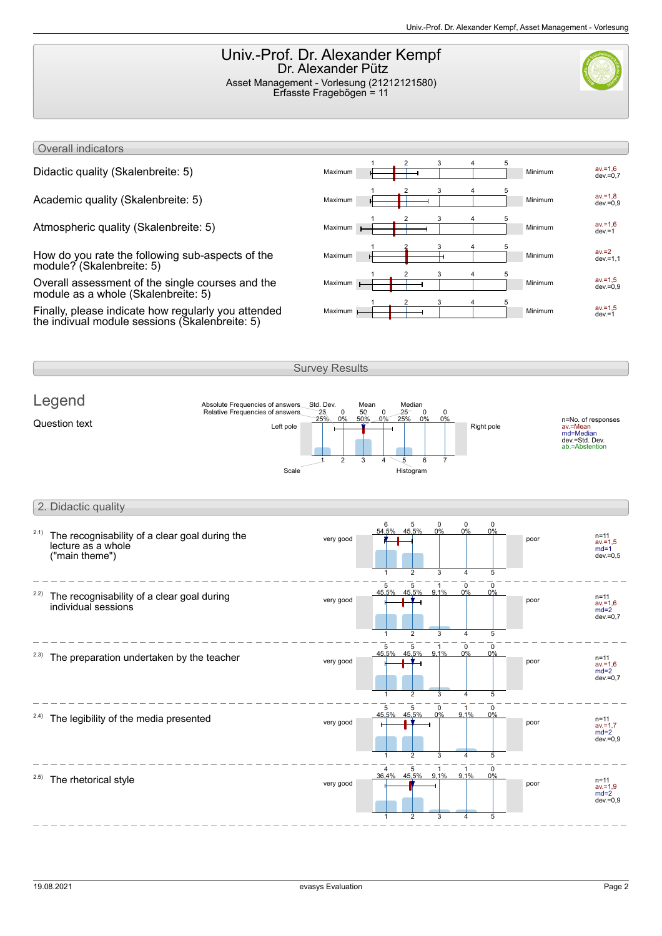## Univ.-Prof. Dr. Alexander Kempf Dr. Alexander Pütz Asset Management - Vorlesung (21212121580) Erfasste Fragebögen = 11

Overall indicators

How do you rate the following sub-aspects of the module? (Skalenbreite: 5)

Overall assessment of the single courses and the module as a whole (Skalenbreite: 5)

Finally, please indicate how regularly you attended the indivual module sessions (Skalenbreite: 5)



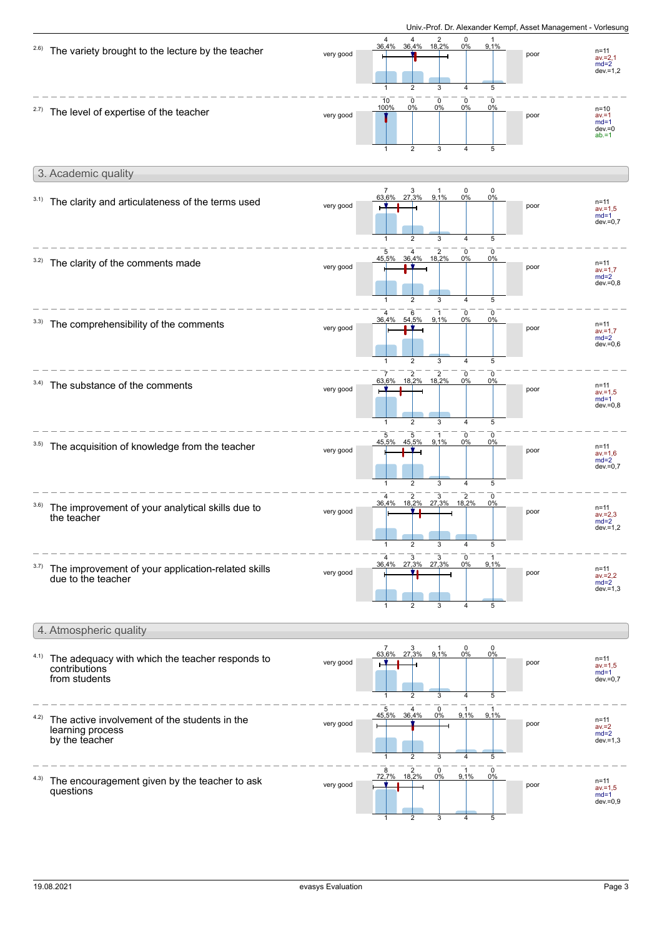|      |                                                                                     |           |                                                                                                                   |                                                                             | Univ.-Prof. Dr. Alexander Kempf, Asset Management - Vorlesung |                                                         |
|------|-------------------------------------------------------------------------------------|-----------|-------------------------------------------------------------------------------------------------------------------|-----------------------------------------------------------------------------|---------------------------------------------------------------|---------------------------------------------------------|
| 2.6) | The variety brought to the lecture by the teacher                                   | very good | $4$ 2<br>36,4% 18,2%<br>4<br>36,4%<br>2<br>3                                                                      | 0<br>9,1%<br>$0\%$<br>4<br>5                                                | poor                                                          | n=11<br>$av = 2,1$<br>$md=2$<br>$dev = 1,2$             |
| 2.7) | The level of expertise of the teacher                                               | very good | $\frac{10}{100\%}$<br>$\begin{matrix} 0 \\ 0\% \end{matrix}$<br>0<br>$0\%$<br>$\mathbf{1}$<br>$\overline{2}$<br>3 | 0<br>0<br>$0\%$<br>0%<br>$\overline{4}$<br>5                                | poor                                                          | $n = 10$<br>$av = 1$<br>$md=1$<br>$dev = 0$<br>$ab = 1$ |
|      | 3. Academic quality                                                                 |           |                                                                                                                   |                                                                             |                                                               |                                                         |
| 3.1) | The clarity and articulateness of the terms used                                    | very good | $\overline{7}$<br>$\frac{3}{27,3\%}$<br>9,1%<br>63,6%<br>1<br>$\overline{2}$<br>3                                 | 0<br>$\mathbf 0$<br>0%<br>0%<br>5<br>$\overline{4}$                         | poor                                                          | $n = 11$<br>$av = 1.5$<br>$md=1$<br>$dev = 0,7$         |
| 3.2) | The clarity of the comments made                                                    | very good | $\frac{2}{18,2\%}$<br>5<br>4<br>45,5%<br>36,4%<br>$\overline{2}$<br>3<br>1                                        | 0<br>0<br>0%<br>0%<br>$\overline{4}$<br>5                                   | poor                                                          | $n = 11$<br>$av = 1,7$<br>$md=2$<br>$dev = 0,8$         |
|      | 3.3) The comprehensibility of the comments                                          | very good | 6<br>54,5%<br>9,1%<br>36,4%<br>$\overline{2}$<br>3                                                                | 0<br>0<br>0%<br>0%<br>$\overline{4}$<br>5                                   | poor                                                          | $n = 11$<br>$av = 1.7$<br>$md=2$<br>$dev = 0.6$         |
| 3.4) | The substance of the comments                                                       | very good | 63,6%<br>$\overline{2}$<br>3<br>1                                                                                 | 0<br>$\mathbf 0$<br>$0\%$<br>0%<br>5<br>$\overline{4}$                      | poor                                                          | $n = 11$<br>$av = 1.5$<br>$md=1$<br>$dev = 0,8$         |
| 3.5) | The acquisition of knowledge from the teacher                                       | very good | 5<br>5<br>9,1%<br>45,5%<br>45,5%<br>1<br>2<br>3                                                                   | $\mathbf 0$<br>$\mathbf 0$<br>0%<br>0%<br>$\overline{4}$<br>5               | poor                                                          | $n = 11$<br>$av = 1,6$<br>$md=2$<br>$dev = 0,7$         |
| 3.6) | The improvement of your analytical skills due to<br>the teacher                     | very good | 3<br>$\overline{2}$<br>18,2%<br>27,3%<br>36,4%                                                                    | $\overline{c}$<br>$\mathbf 0$<br>18,2%<br>0%                                | poor                                                          | $n = 11$<br>$av = 2.3$<br>$md=2$<br>$dev = 1,2$         |
| 3.7) | The improvement of your application-related skills<br>due to the teacher            | very good | 3<br>3<br>27,3% 27,3%<br>36,4%<br>3                                                                               | 0<br>9,1%<br>0%<br>5<br>$\overline{\mathbf{A}}$                             | poor                                                          | n=11<br>$av = 2.2$<br>$md=2$<br>$dev = 1,3$             |
|      | 4. Atmospheric quality                                                              |           |                                                                                                                   |                                                                             |                                                               |                                                         |
| 4.1) | The adequacy with which the teacher responds to<br>contributions<br>from students   | very good | $\frac{7}{63,6\%}$<br>$\frac{3}{27,3\%}$<br>9,1%<br>$\overline{2}$<br>3<br>$\mathbf{1}$                           | $\begin{matrix} 0 \\ 0\% \end{matrix}$<br>0<br>$0\%$<br>5<br>$\overline{4}$ | poor                                                          | n=11<br>$av = 1.5$<br>$md=1$<br>$dev = 0,7$             |
| 4.2) | The active involvement of the students in the<br>learning process<br>by the teacher | very good | 5<br>0<br>0%<br>45,5%<br>36,4%<br>$\mathbf{1}$<br>2<br>3                                                          | $\mathbf{1}$<br>9,1%<br>9,1%<br>$\overline{4}$<br>5                         | poor                                                          | $n = 11$<br>$av = 2$<br>$md=2$<br>$dev = 1,3$           |
| 4.3) | The encouragement given by the teacher to ask<br>questions                          | very good | 8<br>2<br>0<br>18,2%<br>0%<br>72,7%<br>$\overline{2}$<br>3<br>$\mathbf 1$                                         | $\mathbf 0$<br>9,1%<br>0%<br>$\overline{4}$<br>5                            | poor                                                          | $n = 11$<br>$av = 1,5$<br>$md=1$<br>$dev = 0,9$         |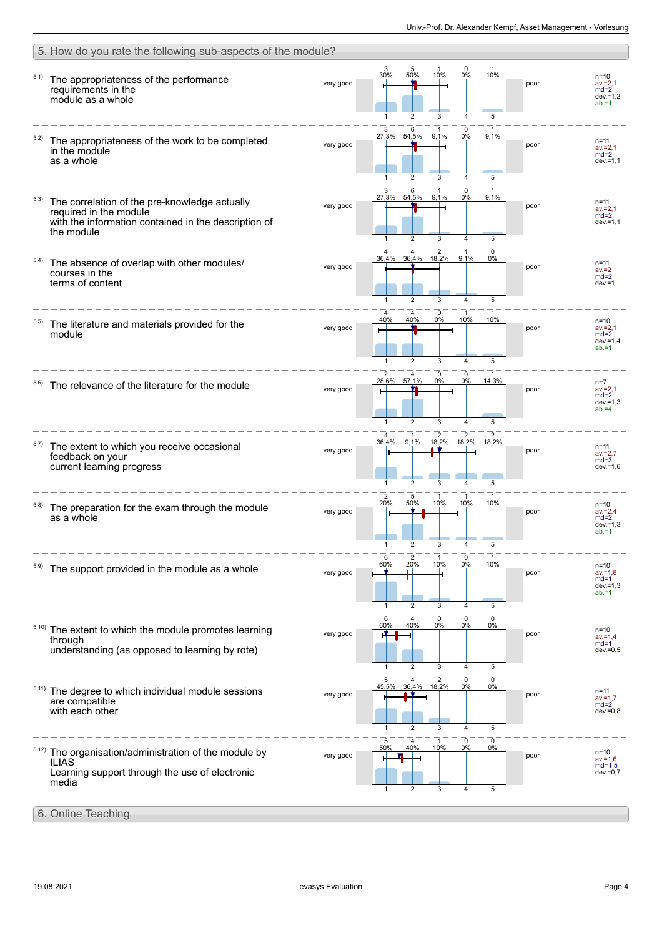|       | 5. How do you rate the following sub-aspects of the module?                                                                                   |           |                                                                                                                                     |                                                             |
|-------|-----------------------------------------------------------------------------------------------------------------------------------------------|-----------|-------------------------------------------------------------------------------------------------------------------------------------|-------------------------------------------------------------|
| 5.1)  | The appropriateness of the performance<br>requirements in the<br>module as a whole                                                            | very good | 0<br>3<br>$\frac{5}{50\%}$<br>10%<br>0%<br>30%<br>10%<br>poor<br>5<br>$\overline{2}$<br>1<br>3<br>4                                 | $n = 10$<br>$av = 2,1$<br>$md=2$<br>$dev = 1,2$<br>$ab = 1$ |
|       | The appropriateness of the work to be completed<br>in the module<br>as a whole                                                                | very good | 3<br>0<br>6<br>1<br>9,1%<br>27,3%<br>54,5%<br>9,1%<br>$0\%$<br>poor<br>5<br>$\overline{2}$<br>3<br>$\overline{4}$                   | n=11<br>$av = 2,1$<br>$md=2$<br>$dev = 1,1$                 |
| 5.3)  | The correlation of the pre-knowledge actually<br>required in the module<br>with the information contained in the description of<br>the module | very good | 27,3% 54,5%<br>9,1%<br>0%<br>9,1%<br>poor<br>$\overline{2}$<br>$\overline{4}$<br>5                                                  | $n = 11$<br>$av = 2,1$<br>$md=2$<br>$dev = 1,1$             |
| 5.4)  | The absence of overlap with other modules/<br>courses in the<br>terms of content                                                              | very good | 2<br>4<br>0<br>36,4% 18,2%<br>9,1%<br>36,4%<br>0%<br>poor<br>5<br>$\overline{2}$<br>3<br>4<br>1                                     | $n = 11$<br>$av = 2$<br>$md=2$<br>$dev = 1$                 |
| 5.5)  | The literature and materials provided for the<br>module                                                                                       | very good | 0<br>4<br>4<br>-1<br>40%<br>40%<br>0%<br>10%<br>10%<br>poor<br>$\overline{2}$<br>3<br>5<br>4                                        | $n = 10$<br>$av = 2,1$<br>$md=2$<br>$dev = 1.4$<br>$ab = 1$ |
|       | The relevance of the literature for the module                                                                                                | very good | $\mathbf 0$<br>2<br>0<br>28,6% 57,1%<br>0%<br>$0\%$<br>14,3%<br>poor<br>$\overline{2}$<br>3<br>5<br>$\mathbf{1}$<br>$\overline{4}$  | $n=7$<br>$av = 2,1$<br>$md=2$<br>$dev = 1,3$<br>$ab = 4$    |
| 5.7)  | The extent to which you receive occasional<br>feedback on your<br>current learning progress                                                   | very good | $\overline{c}$<br>2<br>18,2%<br>36,4%<br>9.1%<br>18.2%<br>18,2%<br>poor<br>5<br>$\overline{2}$<br>$\overline{\mathbf{4}}$<br>1<br>3 | $n = 11$<br>$av = 2,7$<br>$md=3$<br>$dev = 1,6$             |
| 5.8)  | The preparation for the exam through the module<br>as a whole                                                                                 | very good | 2<br>5<br>50%<br>10%<br>10%<br>10%<br>20%<br>poor<br>5<br>4                                                                         | $n = 10$<br>$av = 2,4$<br>$md=2$<br>$dev = 1.3$<br>$ab = 1$ |
|       | The support provided in the module as a whole                                                                                                 | very good | 6<br>$\overline{2}$<br>0<br>60%<br>20%<br>10%<br>10%<br>0%<br>poor<br>$\mathbf{1}$<br>$\overline{2}$<br>$\overline{4}$<br>5<br>3    | $n = 10$<br>$av = 1,8$<br>$md=1$<br>$dev = 1,3$<br>$ab = 1$ |
| 5.10) | The extent to which the module promotes learning<br>through<br>understanding (as opposed to learning by rote)                                 | very good | $\pmb{0}$<br>4<br>0<br>0<br>6<br>40%<br>0%<br>60%<br>0%<br>0%<br>poor<br>5<br>1<br>$\overline{2}$<br>3<br>4                         | $n = 10$<br>$av = 1.4$<br>$md=1$<br>$dev = 0,5$             |
| 5.11) | The degree to which individual module sessions<br>are compatible<br>with each other                                                           | very good | 0<br>2<br>0<br>5<br>36,4% 18,2%<br>45,5%<br>0%<br>0%<br>poor<br>5<br>$\overline{2}$<br>1<br>3<br>$\overline{4}$                     | $n = 11$<br>$av = 1.7$<br>$md=2$<br>$dev = 0.8$             |
| 5.12) | The organisation/administration of the module by<br><b>ILIAS</b><br>Learning support through the use of electronic<br>media                   | very good | 5<br>0<br>0<br>1<br>40%<br>10%<br>50%<br>0%<br>0%<br>poor<br>2<br>3<br>5<br>1<br>4                                                  | $n=10$<br>$av = 1,6$<br>$md=1,5$<br>$dev = 0,7$             |
|       | 6. Online Teaching                                                                                                                            |           |                                                                                                                                     |                                                             |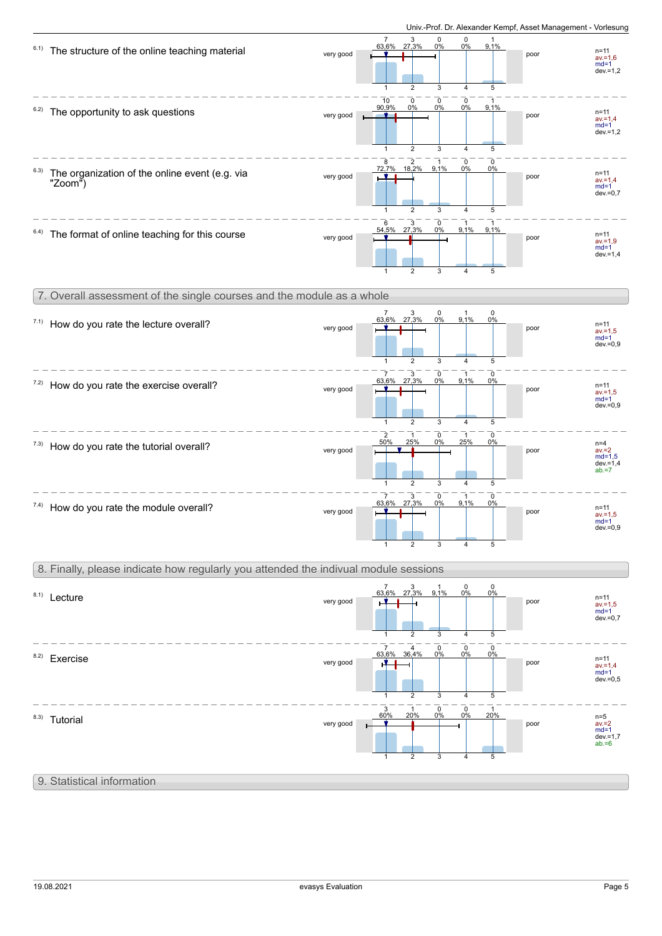